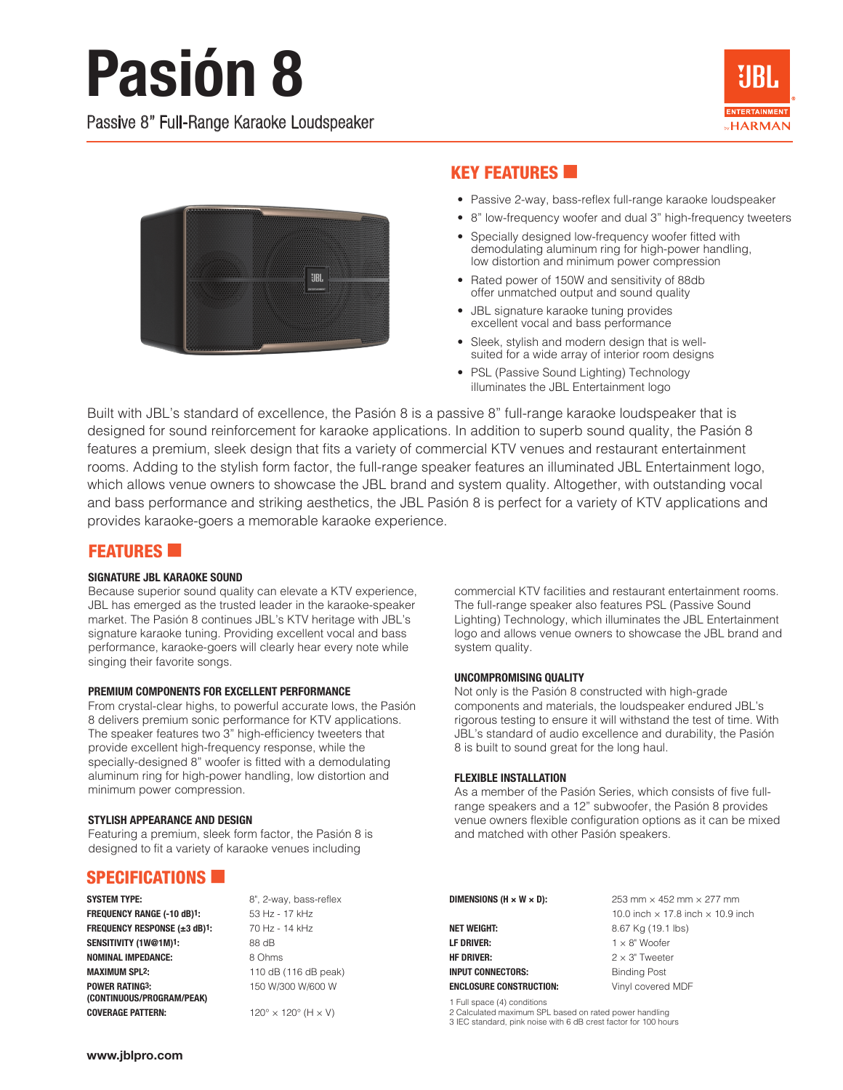# **Pasión 8**

Passive 8" Full-Range Karaoke Loudspeaker





## **KEY FEATURES**

- Passive 2-way, bass-reflex full-range karaoke loudspeaker
- 8" low-frequency woofer and dual 3" high-frequency tweeters
- Specially designed low-frequency woofer fitted with demodulating aluminum ring for high-power handling, low distortion and minimum power compression
- Rated power of 150W and sensitivity of 88db offer unmatched output and sound quality
- JBL signature karaoke tuning provides excellent vocal and bass performance
- Sleek, stylish and modern design that is wellsuited for a wide array of interior room designs
- PSL (Passive Sound Lighting) Technology illuminates the JBL Entertainment logo

Built with JBL's standard of excellence, the Pasión 8 is a passive 8" full-range karaoke loudspeaker that is designed for sound reinforcement for karaoke applications. In addition to superb sound quality, the Pasión 8 features a premium, sleek design that fits a variety of commercial KTV venues and restaurant entertainment rooms. Adding to the stylish form factor, the full-range speaker features an illuminated JBL Entertainment logo, which allows venue owners to showcase the JBL brand and system quality. Altogether, with outstanding vocal and bass performance and striking aesthetics, the JBL Pasión 8 is perfect for a variety of KTV applications and provides karaoke-goers a memorable karaoke experience.

## **FEATURES**

### SIGNATURE JBL KARAOKE SOUND

Because superior sound quality can elevate a KTV experience, JBL has emerged as the trusted leader in the karaoke-speaker market. The Pasión 8 continues JBL's KTV heritage with JBL's signature karaoke tuning. Providing excellent vocal and bass performance, karaoke-goers will clearly hear every note while singing their favorite songs.

### PREMIUM COMPONENTS FOR EXCELLENT PERFORMANCE

From crystal-clear highs, to powerful accurate lows, the Pasión 8 delivers premium sonic performance for KTV applications. The speaker features two 3" high-efficiency tweeters that provide excellent high-frequency response, while the specially-designed 8" woofer is fitted with a demodulating aluminum ring for high-power handling, low distortion and minimum power compression.

### STYLISH APPEARANCE AND DESIGN

Featuring a premium, sleek form factor, the Pasión 8 is designed to fit a variety of karaoke venues including

## SPECIFICATIONS  $\blacksquare$

FREQUENCY RANGE (-10 dB)<sup>1</sup>: 53 Hz - 17 kHz FREQUENCY RESPONSE (±3 dB)<sup>1</sup>: 70 Hz - 14 kHz SENSITIVITY (1W@1M)<sup>1</sup>: 88 dB NOMINAL IMPEDANCE: 8 Ohms MAXIMUM SPL2: 110 dB (116 dB peak) **POWER RATING3:** 150 W/300 W/600 W (CONTINUOUS/PROGRAM/PEAK) **COVERAGE PATTERN:**  $120^\circ \times 120^\circ$  (H  $\times$  V)

SYSTEM TYPE: 8", 2-way, bass-reflex

commercial KTV facilities and restaurant entertainment rooms. The full-range speaker also features PSL (Passive Sound Lighting) Technology, which illuminates the JBL Entertainment logo and allows venue owners to showcase the JBL brand and system quality.

### UNCOMPROMISING QUALITY

Not only is the Pasión 8 constructed with high-grade components and materials, the loudspeaker endured JBL's rigorous testing to ensure it will withstand the test of time. With JBL's standard of audio excellence and durability, the Pasión 8 is built to sound great for the long haul.

### FLEXIBLE INSTALLATION

As a member of the Pasión Series, which consists of five fullrange speakers and a 12" subwoofer, the Pasión 8 provides venue owners flexible configuration options as it can be mixed and matched with other Pasión speakers.

**NET WEIGHT:** 8.67 Kg (19.1 lbs) **LF DRIVER:**  $1 \times 8"$  Woofer **HF DRIVER:**  $2 \times 3$ " Tweeter INPUT CONNECTORS: Binding Post ENCLOSURE CONSTRUCTION: Vinyl covered MDF

**DIMENSIONS (H × W × D):**  $253 \text{ mm} \times 452 \text{ mm} \times 277 \text{ mm}$ 10.0 inch  $\times$  17.8 inch  $\times$  10.9 inch

1 Full space (4) conditions

2 Calculated maximum SPL based on rated power handling

3 IEC standard, pink noise with 6 dB crest factor for 100 hours